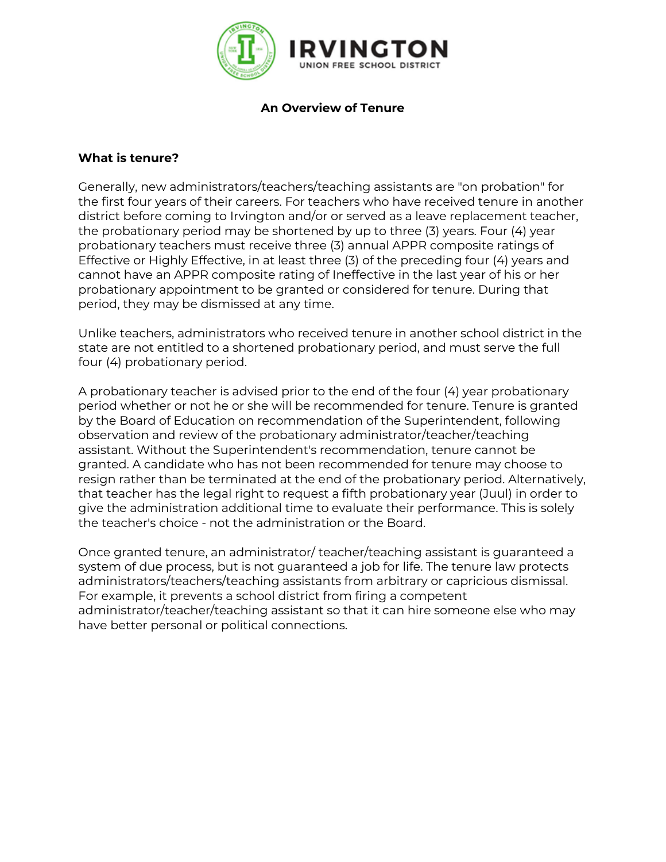

**An Overview of Tenure** 

#### **What is tenure?**

Generally, new administrators/teachers/teaching assistants are "on probation" for the first four years of their careers. For teachers who have received tenure in another district before coming to Irvington and/or or served as a leave replacement teacher, the probationary period may be shortened by up to three (3) years. Four (4) year probationary teachers must receive three (3) annual APPR composite ratings of Effective or Highly Effective, in at least three (3) of the preceding four (4) years and cannot have an APPR composite rating of Ineffective in the last year of his or her probationary appointment to be granted or considered for tenure. During that period, they may be dismissed at any time.

Unlike teachers, administrators who received tenure in another school district in the state are not entitled to a shortened probationary period, and must serve the full four (4) probationary period.

A probationary teacher is advised prior to the end of the four (4) year probationary period whether or not he or she will be recommended for tenure. Tenure is granted by the Board of Education on recommendation of the Superintendent, following observation and review of the probationary administrator/teacher/teaching assistant. Without the Superintendent's recommendation, tenure cannot be granted. A candidate who has not been recommended for tenure may choose to resign rather than be terminated at the end of the probationary period. Alternatively, that teacher has the legal right to request a fifth probationary year (Juul) in order to give the administration additional time to evaluate their performance. This is solely the teacher's choice - not the administration or the Board.

Once granted tenure, an administrator/ teacher/teaching assistant is guaranteed a system of due process, but is not guaranteed a job for life. The tenure law protects administrators/teachers/teaching assistants from arbitrary or capricious dismissal. For example, it prevents a school district from firing a competent administrator/teacher/teaching assistant so that it can hire someone else who may have better personal or political connections.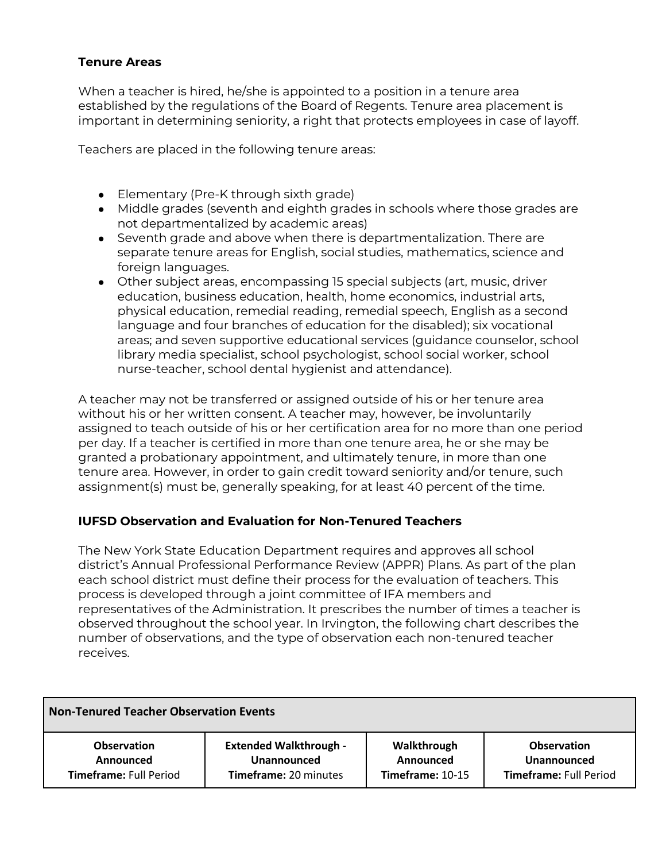### **Tenure Areas**

When a teacher is hired, he/she is appointed to a position in a tenure area established by the regulations of the Board of Regents. Tenure area placement is important in determining seniority, a right that protects employees in case of layoff.

Teachers are placed in the following tenure areas:

- Elementary (Pre-K through sixth grade)
- Middle grades (seventh and eighth grades in schools where those grades are not departmentalized by academic areas)
- Seventh grade and above when there is departmentalization. There are separate tenure areas for English, social studies, mathematics, science and foreign languages.
- Other subject areas, encompassing 15 special subjects (art, music, driver education, business education, health, home economics, industrial arts, physical education, remedial reading, remedial speech, English as a second language and four branches of education for the disabled); six vocational areas; and seven supportive educational services (guidance counselor, school library media specialist, school psychologist, school social worker, school nurse-teacher, school dental hygienist and attendance).

A teacher may not be transferred or assigned outside of his or her tenure area without his or her written consent. A teacher may, however, be involuntarily assigned to teach outside of his or her certification area for no more than one period per day. If a teacher is certified in more than one tenure area, he or she may be granted a probationary appointment, and ultimately tenure, in more than one tenure area. However, in order to gain credit toward seniority and/or tenure, such assignment(s) must be, generally speaking, for at least 40 percent of the time.

### **IUFSD Observation and Evaluation for Non-Tenured Teachers**

The New York State Education Department requires and approves all school district's Annual Professional Performance Review (APPR) Plans. As part of the plan each school district must define their process for the evaluation of teachers. This process is developed through a joint committee of IFA members and representatives of the Administration. It prescribes the number of times a teacher is observed throughout the school year. In Irvington, the following chart describes the number of observations, and the type of observation each non-tenured teacher receives.

| Non-Tenured Teacher Observation Events |                               |                  |                               |
|----------------------------------------|-------------------------------|------------------|-------------------------------|
| <b>Observation</b>                     | <b>Extended Walkthrough -</b> | Walkthrough      | <b>Observation</b>            |
| Announced                              | <b>Unannounced</b>            | Announced        | Unannounced                   |
| <b>Timeframe: Full Period</b>          | <b>Timeframe: 20 minutes</b>  | Timeframe: 10-15 | <b>Timeframe: Full Period</b> |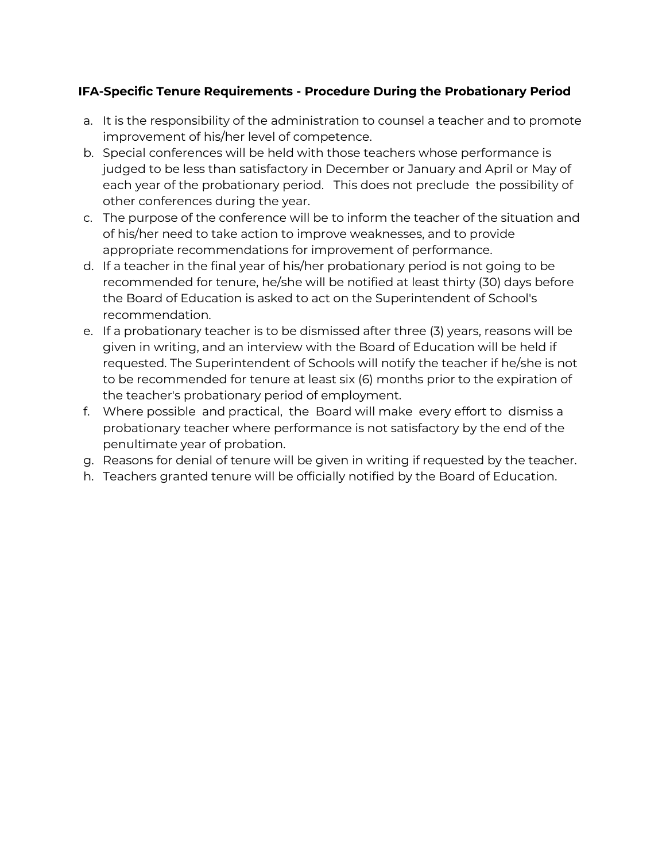## **IFA-Specific Tenure Requirements - Procedure During the Probationary Period**

- a. It is the responsibility of the administration to counsel a teacher and to promote improvement of his/her level of competence.
- b. Special conferences will be held with those teachers whose performance is judged to be less than satisfactory in December or January and April or May of each year of the probationary period. This does not preclude the possibility of other conferences during the year.
- c. The purpose of the conference will be to inform the teacher of the situation and of his/her need to take action to improve weaknesses, and to provide appropriate recommendations for improvement of performance.
- d. If a teacher in the final year of his/her probationary period is not going to be recommended for tenure, he/she will be notified at least thirty (30) days before the Board of Education is asked to act on the Superintendent of School's recommendation.
- e. If a probationary teacher is to be dismissed after three (3) years, reasons will be given in writing, and an interview with the Board of Education will be held if requested. The Superintendent of Schools will notify the teacher if he/she is not to be recommended for tenure at least six (6) months prior to the expiration of the teacher's probationary period of employment.
- f. Where possible and practical, the Board will make every effort to dismiss a probationary teacher where performance is not satisfactory by the end of the penultimate year of probation.
- g. Reasons for denial of tenure will be given in writing if requested by the teacher.
- h. Teachers granted tenure will be officially notified by the Board of Education.